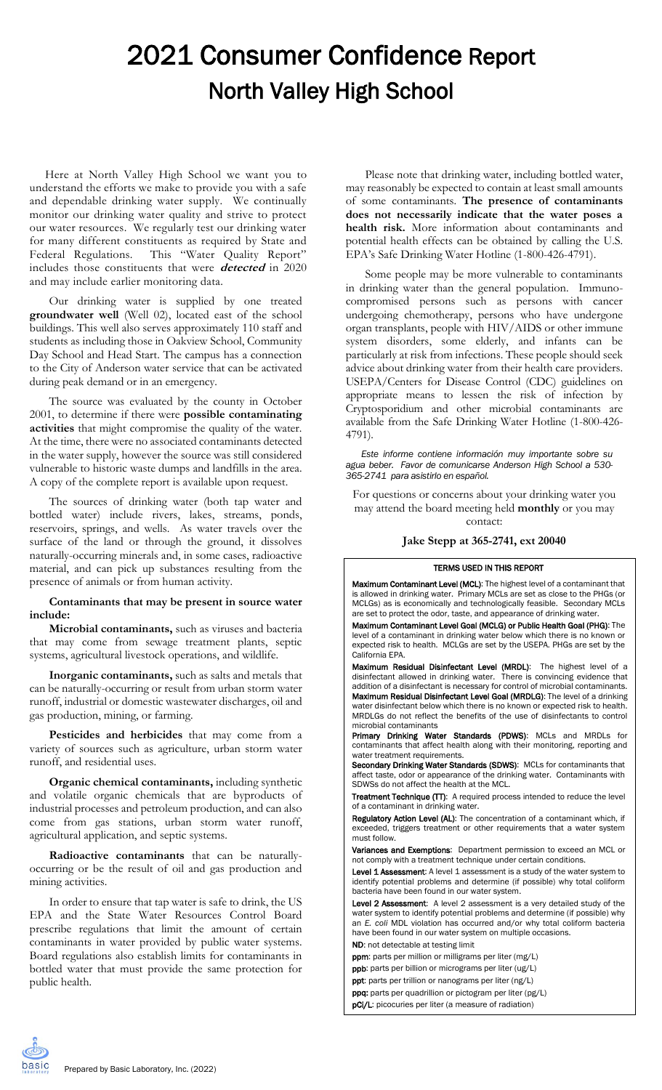## 2021 Consumer Confidence Report North Valley High School

Here at North Valley High School we want you to understand the efforts we make to provide you with a safe and dependable drinking water supply. We continually monitor our drinking water quality and strive to protect our water resources. We regularly test our drinking water for many different constituents as required by State and Federal Regulations. This "Water Quality Report" includes those constituents that were **detected** in 2020 and may include earlier monitoring data.

Our drinking water is supplied by one treated **groundwater well** (Well 02), located east of the school buildings. This well also serves approximately 110 staff and students as including those in Oakview School, Community Day School and Head Start. The campus has a connection to the City of Anderson water service that can be activated during peak demand or in an emergency.

The source was evaluated by the county in October 2001, to determine if there were **possible contaminating activities** that might compromise the quality of the water. At the time, there were no associated contaminants detected in the water supply, however the source was still considered vulnerable to historic waste dumps and landfills in the area. A copy of the complete report is available upon request.

The sources of drinking water (both tap water and bottled water) include rivers, lakes, streams, ponds, reservoirs, springs, and wells. As water travels over the surface of the land or through the ground, it dissolves naturally-occurring minerals and, in some cases, radioactive material, and can pick up substances resulting from the presence of animals or from human activity.

## **Contaminants that may be present in source water include:**

**Microbial contaminants,** such as viruses and bacteria that may come from sewage treatment plants, septic systems, agricultural livestock operations, and wildlife.

**Inorganic contaminants,** such as salts and metals that can be naturally-occurring or result from urban storm water runoff, industrial or domestic wastewater discharges, oil and gas production, mining, or farming.

**Pesticides and herbicides** that may come from a variety of sources such as agriculture, urban storm water runoff, and residential uses.

**Organic chemical contaminants,** including synthetic and volatile organic chemicals that are byproducts of industrial processes and petroleum production, and can also come from gas stations, urban storm water runoff, agricultural application, and septic systems.

**Radioactive contaminants** that can be naturallyoccurring or be the result of oil and gas production and mining activities.

In order to ensure that tap water is safe to drink, the US EPA and the State Water Resources Control Board prescribe regulations that limit the amount of certain contaminants in water provided by public water systems. Board regulations also establish limits for contaminants in bottled water that must provide the same protection for public health.

Please note that drinking water, including bottled water, may reasonably be expected to contain at least small amounts of some contaminants. **The presence of contaminants does not necessarily indicate that the water poses a health risk.** More information about contaminants and potential health effects can be obtained by calling the U.S. EPA's Safe Drinking Water Hotline (1-800-426-4791).

Some people may be more vulnerable to contaminants in drinking water than the general population. Immunocompromised persons such as persons with cancer undergoing chemotherapy, persons who have undergone organ transplants, people with HIV/AIDS or other immune system disorders, some elderly, and infants can be particularly at risk from infections. These people should seek advice about drinking water from their health care providers. USEPA/Centers for Disease Control (CDC) guidelines on appropriate means to lessen the risk of infection by Cryptosporidium and other microbial contaminants are available from the Safe Drinking Water Hotline (1-800-426- 4791).

*Este informe contiene información muy importante sobre su agua beber. Favor de comunicarse Anderson High School a 530- 365-2741 para asistirlo en español.*

For questions or concerns about your drinking water you may attend the board meeting held **monthly** or you may contact:

**Jake Stepp at 365-2741, ext 20040**

## TERMS USED IN THIS REPORT

Maximum Contaminant Level (MCL): The highest level of a contaminant that is allowed in drinking water. Primary MCLs are set as close to the PHGs (or MCLGs) as is economically and technologically feasible. Secondary MCLs are set to protect the odor, taste, and appearance of drinking water.

Maximum Contaminant Level Goal (MCLG) or Public Health Goal (PHG): The level of a contaminant in drinking water below which there is no known or expected risk to health. MCLGs are set by the USEPA. PHGs are set by the California EPA.

Maximum Residual Disinfectant Level (MRDL): The highest level of a disinfectant allowed in drinking water. There is convincing evidence that addition of a disinfectant is necessary for control of microbial contaminants. Maximum Residual Disinfectant Level Goal (MRDLG): The level of a drinking water disinfectant below which there is no known or expected risk to health. MRDLGs do not reflect the benefits of the use of disinfectants to control microbial contaminants

Primary Drinking Water Standards (PDWS): MCLs and MRDLs for contaminants that affect health along with their monitoring, reporting and water treatment requirements.

Secondary Drinking Water Standards (SDWS): MCLs for contaminants that affect taste, odor or appearance of the drinking water. Contaminants with SDWSs do not affect the health at the MCL.

**Treatment Technique (TT):** A required process intended to reduce the level of a contaminant in drinking water.

Regulatory Action Level (AL): The concentration of a contaminant which, if exceeded, triggers treatment or other requirements that a water system must follow.

Variances and Exemptions: Department permission to exceed an MCL or not comply with a treatment technique under certain conditions.

Level 1 Assessment: A level 1 assessment is a study of the water system to identify potential problems and determine (if possible) why total coliform bacteria have been found in our water system.

Level 2 Assessment: A level 2 assessment is a very detailed study of the water system to identify potential problems and determine (if possible) why an *E. coli* MDL violation has occurred and/or why total coliform bacteria have been found in our water system on multiple occasions. ND: not detectable at testing limit

ppm: parts per million or milligrams per liter (mg/L)

ppb: parts per billion or micrograms per liter (ug/L)

ppt: parts per trillion or nanograms per liter (ng/L)

ppq: parts per quadrillion or pictogram per liter (pg/L)

pCi/L: picocuries per liter (a measure of radiation)